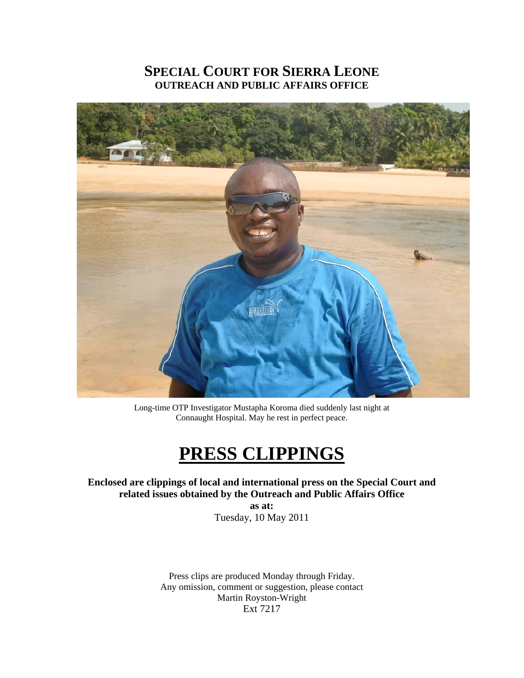# **SPECIAL COURT FOR SIERRA LEONE OUTREACH AND PUBLIC AFFAIRS OFFICE**



Long-time OTP Investigator Mustapha Koroma died suddenly last night at Connaught Hospital. May he rest in perfect peace.

# **PRESS CLIPPINGS**

**Enclosed are clippings of local and international press on the Special Court and related issues obtained by the Outreach and Public Affairs Office as at:** 

Tuesday, 10 May 2011

Press clips are produced Monday through Friday. Any omission, comment or suggestion, please contact Martin Royston-Wright Ext 7217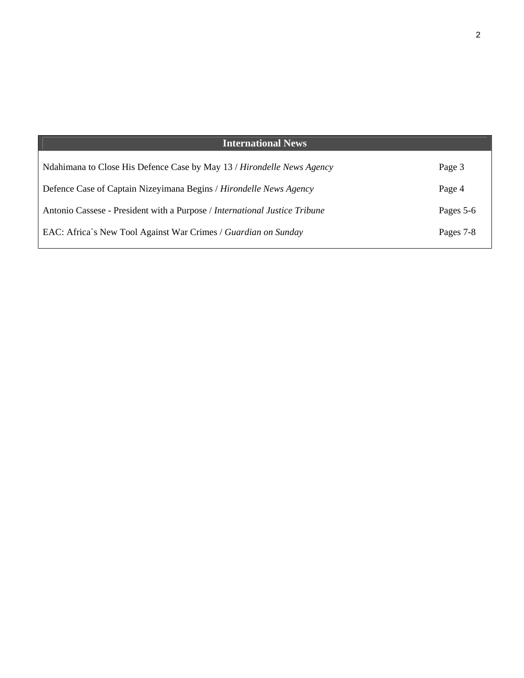| <b>International News</b>                                                  |           |
|----------------------------------------------------------------------------|-----------|
| Ndahimana to Close His Defence Case by May 13 / Hirondelle News Agency     | Page 3    |
| Defence Case of Captain Nizeyimana Begins / Hirondelle News Agency         | Page 4    |
| Antonio Cassese - President with a Purpose / International Justice Tribune | Pages 5-6 |
| EAC: Africa's New Tool Against War Crimes / Guardian on Sunday             | Pages 7-8 |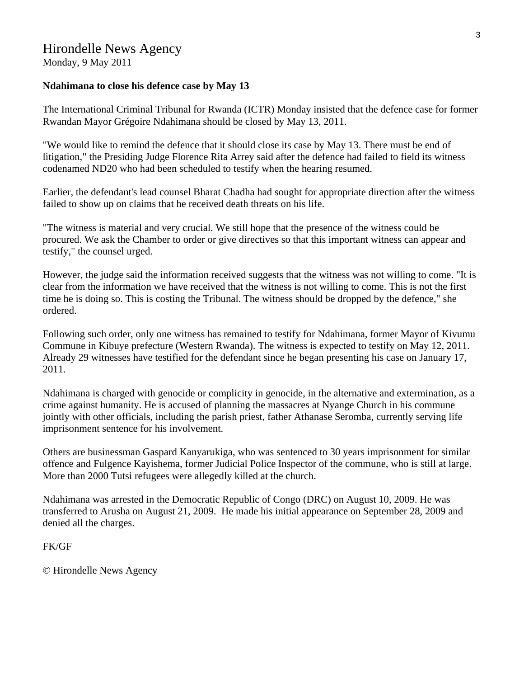## Hirondelle News Agency

Monday, 9 May 2011

#### **Ndahimana to close his defence case by May 13**

The International Criminal Tribunal for Rwanda (ICTR) Monday insisted that the defence case for former Rwandan Mayor Grégoire Ndahimana should be closed by May 13, 2011.

"We would like to remind the defence that it should close its case by May 13. There must be end of litigation," the Presiding Judge Florence Rita Arrey said after the defence had failed to field its witness codenamed ND20 who had been scheduled to testify when the hearing resumed.

Earlier, the defendant's lead counsel Bharat Chadha had sought for appropriate direction after the witness failed to show up on claims that he received death threats on his life.

"The witness is material and very crucial. We still hope that the presence of the witness could be procured. We ask the Chamber to order or give directives so that this important witness can appear and testify," the counsel urged.

However, the judge said the information received suggests that the witness was not willing to come. "It is clear from the information we have received that the witness is not willing to come. This is not the first time he is doing so. This is costing the Tribunal. The witness should be dropped by the defence," she ordered.

Following such order, only one witness has remained to testify for Ndahimana, former Mayor of Kivumu Commune in Kibuye prefecture (Western Rwanda). The witness is expected to testify on May 12, 2011. Already 29 witnesses have testified for the defendant since he began presenting his case on January 17, 2011.

Ndahimana is charged with genocide or complicity in genocide, in the alternative and extermination, as a crime against humanity. He is accused of planning the massacres at Nyange Church in his commune jointly with other officials, including the parish priest, father Athanase Seromba, currently serving life imprisonment sentence for his involvement.

Others are businessman Gaspard Kanyarukiga, who was sentenced to 30 years imprisonment for similar offence and Fulgence Kayishema, former Judicial Police Inspector of the commune, who is still at large. More than 2000 Tutsi refugees were allegedly killed at the church.

Ndahimana was arrested in the Democratic Republic of Congo (DRC) on August 10, 2009. He was transferred to Arusha on August 21, 2009. He made his initial appearance on September 28, 2009 and denied all the charges.

#### FK/GF

© Hirondelle News Agency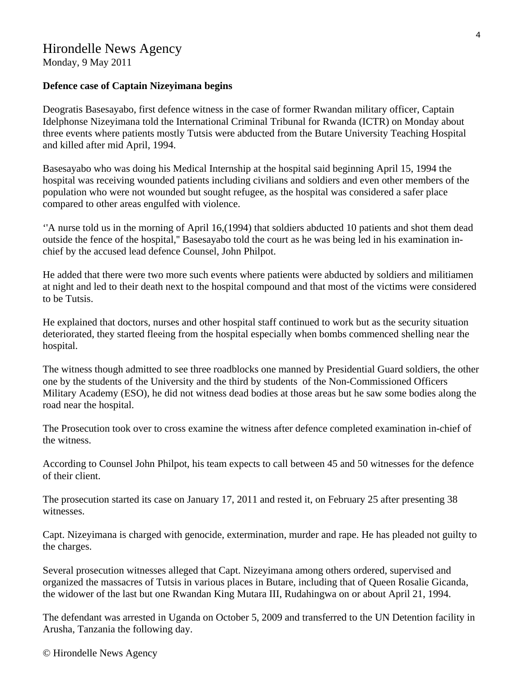Monday, 9 May 2011

#### **Defence case of Captain Nizeyimana begins**

Deogratis Basesayabo, first defence witness in the case of former Rwandan military officer, Captain Idelphonse Nizeyimana told the International Criminal Tribunal for Rwanda (ICTR) on Monday about three events where patients mostly Tutsis were abducted from the Butare University Teaching Hospital and killed after mid April, 1994.

Basesayabo who was doing his Medical Internship at the hospital said beginning April 15, 1994 the hospital was receiving wounded patients including civilians and soldiers and even other members of the population who were not wounded but sought refugee, as the hospital was considered a safer place compared to other areas engulfed with violence.

''A nurse told us in the morning of April 16,(1994) that soldiers abducted 10 patients and shot them dead outside the fence of the hospital,'' Basesayabo told the court as he was being led in his examination inchief by the accused lead defence Counsel, John Philpot.

He added that there were two more such events where patients were abducted by soldiers and militiamen at night and led to their death next to the hospital compound and that most of the victims were considered to be Tutsis.

He explained that doctors, nurses and other hospital staff continued to work but as the security situation deteriorated, they started fleeing from the hospital especially when bombs commenced shelling near the hospital.

The witness though admitted to see three roadblocks one manned by Presidential Guard soldiers, the other one by the students of the University and the third by students of the Non-Commissioned Officers Military Academy (ESO), he did not witness dead bodies at those areas but he saw some bodies along the road near the hospital.

The Prosecution took over to cross examine the witness after defence completed examination in-chief of the witness.

According to Counsel John Philpot, his team expects to call between 45 and 50 witnesses for the defence of their client.

The prosecution started its case on January 17, 2011 and rested it, on February 25 after presenting 38 witnesses.

Capt. Nizeyimana is charged with genocide, extermination, murder and rape. He has pleaded not guilty to the charges.

Several prosecution witnesses alleged that Capt. Nizeyimana among others ordered, supervised and organized the massacres of Tutsis in various places in Butare, including that of Queen Rosalie Gicanda, the widower of the last but one Rwandan King Mutara III, Rudahingwa on or about April 21, 1994.

The defendant was arrested in Uganda on October 5, 2009 and transferred to the UN Detention facility in Arusha, Tanzania the following day.

© Hirondelle News Agency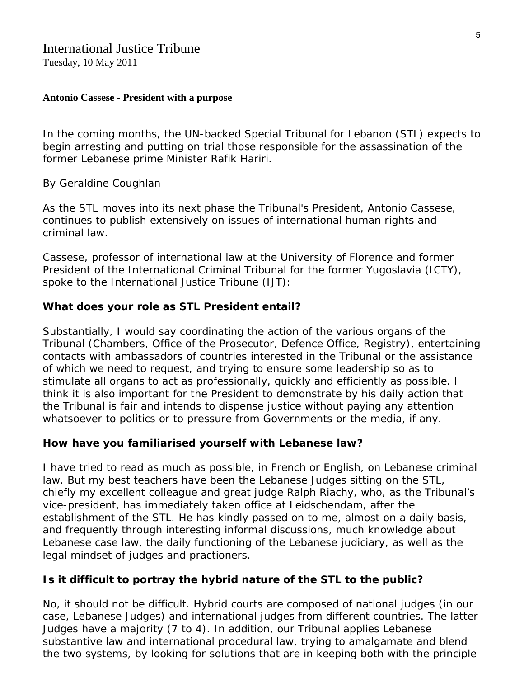## International Justice Tribune

Tuesday, 10 May 2011

#### **Antonio Cassese - President with a purpose**

In the coming months, the UN-backed Special Tribunal for Lebanon (STL) expects to begin arresting and putting on trial those responsible for the assassination of the former Lebanese prime Minister Rafik Hariri.

#### *By Geraldine Coughlan*

As the STL moves into its next phase the Tribunal's President, Antonio Cassese, continues to publish extensively on issues of international human rights and criminal law.

Cassese, professor of international law at the University of Florence and former President of the International Criminal Tribunal for the former Yugoslavia (ICTY), spoke to the *International Justice Tribune* (IJT):

#### **What does your role as STL President entail?**

Substantially, I would say coordinating the action of the various organs of the Tribunal (Chambers, Office of the Prosecutor, Defence Office, Registry), entertaining contacts with ambassadors of countries interested in the Tribunal or the assistance of which we need to request, and trying to ensure some leadership so as to stimulate all organs to act as professionally, quickly and efficiently as possible. I think it is also important for the President to demonstrate by his daily action that the Tribunal is fair and intends to dispense justice without paying any attention whatsoever to politics or to pressure from Governments or the media, if any.

#### **How have you familiarised yourself with Lebanese law?**

I have tried to read as much as possible, in French or English, on Lebanese criminal law. But my best teachers have been the Lebanese Judges sitting on the STL, chiefly my excellent colleague and great judge Ralph Riachy, who, as the Tribunal's vice-president, has immediately taken office at Leidschendam, after the establishment of the STL. He has kindly passed on to me, almost on a daily basis, and frequently through interesting informal discussions, much knowledge about Lebanese case law, the daily functioning of the Lebanese judiciary, as well as the legal mindset of judges and practioners.

#### **Is it difficult to portray the hybrid nature of the STL to the public?**

No, it should not be difficult. Hybrid courts are composed of national judges (in our case, Lebanese Judges) and international judges from different countries. The latter Judges have a majority (7 to 4). In addition, our Tribunal applies Lebanese substantive law and international procedural law, trying to amalgamate and blend the two systems, by looking for solutions that are in keeping both with the principle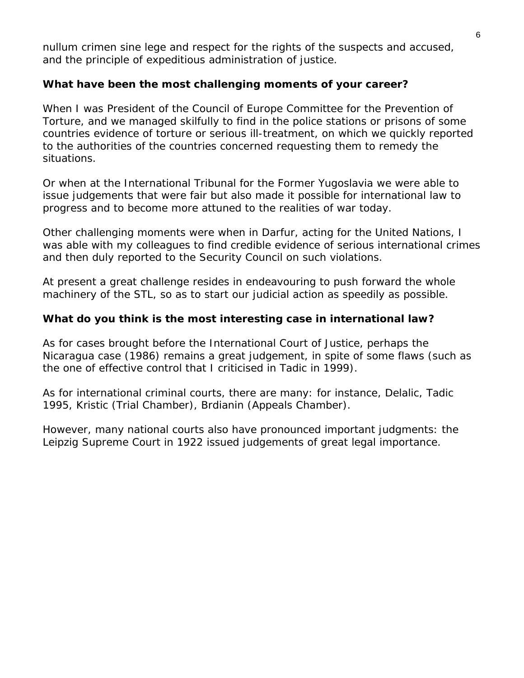*nullum crimen sine lege* and respect for the rights of the suspects and accused, and the principle of expeditious administration of justice.

## **What have been the most challenging moments of your career?**

When I was President of the Council of Europe Committee for the Prevention of Torture, and we managed skilfully to find in the police stations or prisons of some countries evidence of torture or serious ill-treatment, on which we quickly reported to the authorities of the countries concerned requesting them to remedy the situations.

Or when at the International Tribunal for the Former Yugoslavia we were able to issue judgements that were fair but also made it possible for international law to progress and to become more attuned to the realities of war today.

Other challenging moments were when in Darfur, acting for the United Nations, I was able with my colleagues to find credible evidence of serious international crimes and then duly reported to the Security Council on such violations.

At present a great challenge resides in endeavouring to push forward the whole machinery of the STL, so as to start our judicial action as speedily as possible.

## **What do you think is the most interesting case in international law?**

As for cases brought before the International Court of Justice, perhaps the Nicaragua case (1986) remains a great judgement, in spite of some flaws (such as the one of effective control that I criticised in Tadic in 1999).

As for international criminal courts, there are many: for instance, Delalic, Tadic 1995, Kristic (Trial Chamber), Brdianin (Appeals Chamber).

However, many national courts also have pronounced important judgments: the Leipzig Supreme Court in 1922 issued judgements of great legal importance.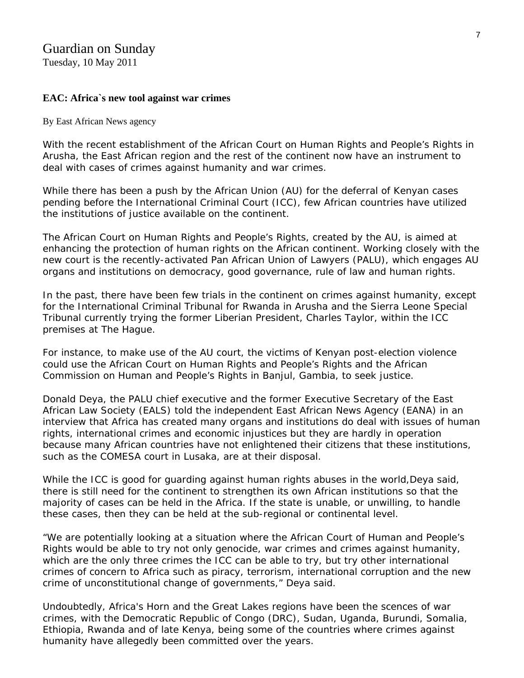## Guardian on Sunday

Tuesday, 10 May 2011

#### **EAC: Africa`s new tool against war crimes**

#### By East African News agency

With the recent establishment of the African Court on Human Rights and People's Rights in Arusha, the East African region and the rest of the continent now have an instrument to deal with cases of crimes against humanity and war crimes.

While there has been a push by the African Union (AU) for the deferral of Kenyan cases pending before the International Criminal Court (ICC), few African countries have utilized the institutions of justice available on the continent.

The African Court on Human Rights and People's Rights, created by the AU, is aimed at enhancing the protection of human rights on the African continent. Working closely with the new court is the recently-activated Pan African Union of Lawyers (PALU), which engages AU organs and institutions on democracy, good governance, rule of law and human rights.

In the past, there have been few trials in the continent on crimes against humanity, except for the International Criminal Tribunal for Rwanda in Arusha and the Sierra Leone Special Tribunal currently trying the former Liberian President, Charles Taylor, within the ICC premises at The Hague.

For instance, to make use of the AU court, the victims of Kenyan post-election violence could use the African Court on Human Rights and People's Rights and the African Commission on Human and People's Rights in Banjul, Gambia, to seek justice.

Donald Deya, the PALU chief executive and the former Executive Secretary of the East African Law Society (EALS) told the independent East African News Agency (EANA) in an interview that Africa has created many organs and institutions do deal with issues of human rights, international crimes and economic injustices but they are hardly in operation because many African countries have not enlightened their citizens that these institutions, such as the COMESA court in Lusaka, are at their disposal.

While the ICC is good for guarding against human rights abuses in the world,Deya said, there is still need for the continent to strengthen its own African institutions so that the majority of cases can be held in the Africa. If the state is unable, or unwilling, to handle these cases, then they can be held at the sub-regional or continental level.

"We are potentially looking at a situation where the African Court of Human and People's Rights would be able to try not only genocide, war crimes and crimes against humanity, which are the only three crimes the ICC can be able to try, but try other international crimes of concern to Africa such as piracy, terrorism, international corruption and the new crime of unconstitutional change of governments," Deya said.

Undoubtedly, Africa's Horn and the Great Lakes regions have been the scences of war crimes, with the Democratic Republic of Congo (DRC), Sudan, Uganda, Burundi, Somalia, Ethiopia, Rwanda and of late Kenya, being some of the countries where crimes against humanity have allegedly been committed over the years.